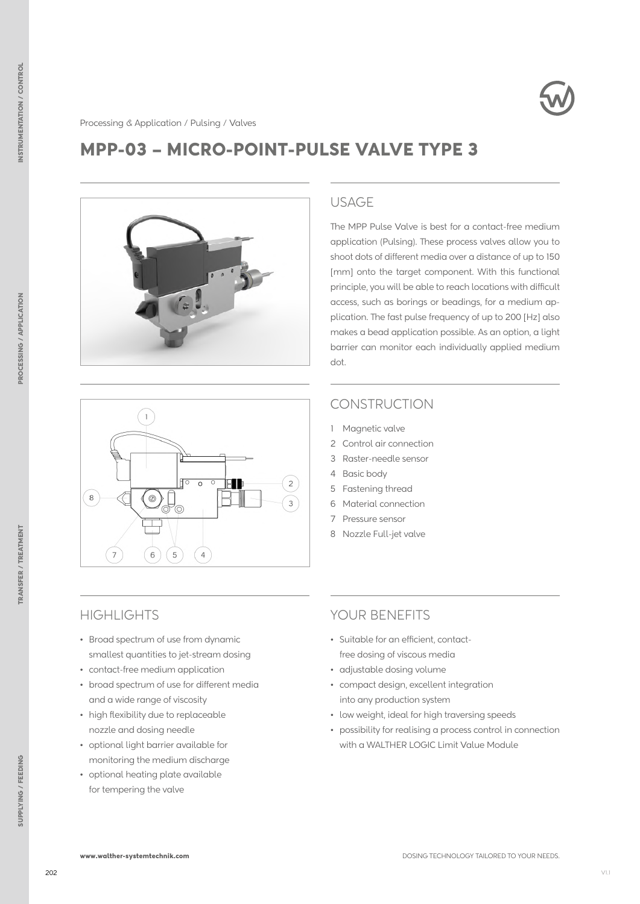

## MPP-03 – MICRO-POINT-PULSE VALVE TYPE 3





#### USAGE

The MPP Pulse Valve is best for a contact-free medium application (Pulsing). These process valves allow you to shoot dots of different media over a distance of up to 150 [mm] onto the target component. With this functional principle, you will be able to reach locations with difficult access, such as borings or beadings, for a medium application. The fast pulse frequency of up to 200 [Hz] also makes a bead application possible. As an option, a light barrier can monitor each individually applied medium dot.

### **CONSTRUCTION**

- 1 Magnetic valve
- 2 Control air connection
- 3 Raster-needle sensor
- 4 Basic body
- 5 Fastening thread
- 6 Material connection
- 7 Pressure sensor
- 8 Nozzle Full-jet valve

### **HIGHLIGHTS**

- Broad spectrum of use from dynamic smallest quantities to jet-stream dosing
- contact-free medium application
- broad spectrum of use for different media and a wide range of viscosity
- high flexibility due to replaceable nozzle and dosing needle
- optional light barrier available for monitoring the medium discharge
- optional heating plate available for tempering the valve

### YOUR BENEFITS

- Suitable for an efficient, contactfree dosing of viscous media
- adjustable dosing volume
- compact design, excellent integration into any production system
- low weight, ideal for high traversing speeds
- possibility for realising a process control in connection with a WALTHER LOGIC Limit Value Module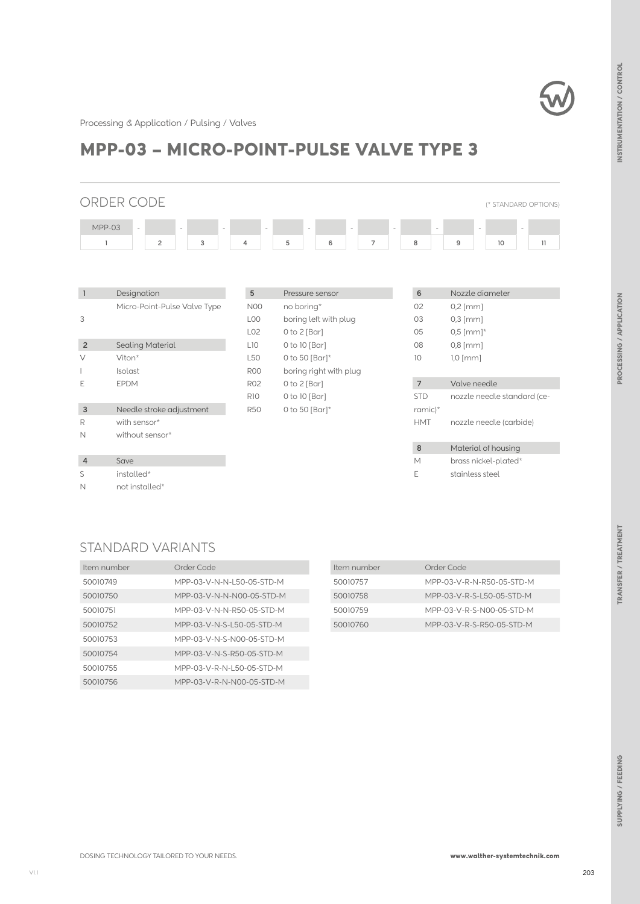

Processing & Application / Pulsing / Valves

# MPP-03 – MICRO-POINT-PULSE VALVE TYPE 3

## ORDER CODE (\* STANDARD OPTIONS) MPP-03 - - - - - - - - - - **1 2 3 4 5 6 7 8 9 10 11**

| $\mathbf{1}$   | Designation                  | $5\phantom{.0}$ | Pressure sensor        | $\sqrt{6}$      | Nozzle diameter             |
|----------------|------------------------------|-----------------|------------------------|-----------------|-----------------------------|
|                | Micro-Point-Pulse Valve Type | <b>N00</b>      | no boring*             | 02              | $0,2$ [mm]                  |
| 3              |                              | LO <sub>0</sub> | boring left with plug  | 03              | $0,3$ [mm]                  |
|                |                              | L <sub>02</sub> | $0$ to $2$ [Bar]       | 05              | $0,5$ [mm]*                 |
| $\overline{2}$ | <b>Sealing Material</b>      | L10             | 0 to 10 [Bar]          | 08              | $0,8$ [mm]                  |
| V              | Viton*                       | L <sub>50</sub> | 0 to 50 [Bar] $*$      | 10 <sup>°</sup> | $1,0$ [mm]                  |
|                | Isolast                      | R <sub>00</sub> | boring right with plug |                 |                             |
| E              | <b>EPDM</b>                  | <b>R02</b>      | $0$ to $2$ [Bar]       | $\overline{7}$  | Valve needle                |
|                |                              | <b>R10</b>      | 0 to 10 [Bar]          | <b>STD</b>      | nozzle needle standard (ce- |
| $\mathbf{3}$   | Needle stroke adjustment     | <b>R50</b>      | 0 to 50 [Bar] $*$      | ramic $)^*$     |                             |
| R              | with sensor*                 |                 |                        | <b>HMT</b>      | nozzle needle (carbide)     |
| N              | without sensor*              |                 |                        |                 |                             |
|                |                              |                 |                        | $\bf8$          | Material of housing         |
| $\overline{4}$ | Save                         |                 |                        | M               | brass nickel-plated*        |
| S              | installed*                   |                 |                        | Е               | stainless steel             |
| N              | not installed*               |                 |                        |                 |                             |

### STANDARD VARIANTS

| Item number | Order Code                |
|-------------|---------------------------|
| 50010749    | MPP-03-V-N-N-L50-05-STD-M |
| 50010750    | MPP-03-V-N-N-N00-05-STD-M |
| 50010751    | MPP-03-V-N-N-R50-05-STD-M |
| 50010752    | MPP-03-V-N-S-L50-05-STD-M |
| 50010753    | MPP-03-V-N-S-N00-05-STD-M |
| 50010754    | MPP-03-V-N-S-R50-05-STD-M |
| 50010755    | MPP-03-V-R-N-L50-05-STD-M |
| 50010756    | MPP-03-V-R-N-N00-05-STD-M |

| Item number | Order Code                |
|-------------|---------------------------|
| 50010757    | MPP-03-V-R-N-R50-05-STD-M |
| 50010758    | MPP-03-V-R-S-L50-05-STD-M |
| 50010759    | MPP-03-V-R-S-N00-05-STD-M |
| 50010760    | MPP-03-V-R-S-R50-05-STD-M |